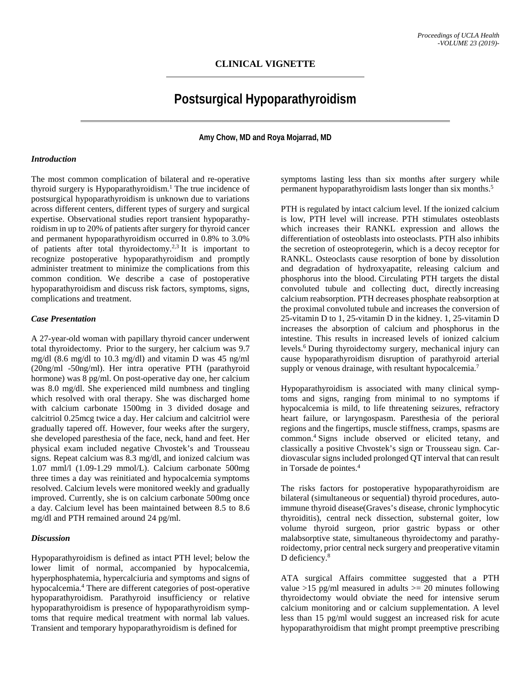# **Postsurgical Hypoparathyroidism**

**Amy Chow, MD and Roya Mojarrad, MD**

#### *Introduction*

The most common complication of bilateral and re-operative thyroid surgery is Hypoparathyroidism.<sup>1</sup> The true incidence of postsurgical hypoparathyroidism is unknown due to variations across different centers, different types of surgery and surgical expertise. Observational studies report transient hypoparathyroidism in up to 20% of patients after surgery for thyroid cancer and permanent hypoparathyroidism occurred in 0.8% to 3.0% of patients after total thyroidectomy.<sup>2,3</sup> It is important to recognize postoperative hypoparathyroidism and promptly administer treatment to minimize the complications from this common condition. We describe a case of postoperative hypoparathyroidism and discuss risk factors, symptoms, signs, complications and treatment.

#### *Case Presentation*

A 27-year-old woman with papillary thyroid cancer underwent total thyroidectomy. Prior to the surgery, her calcium was 9.7 mg/dl (8.6 mg/dl to 10.3 mg/dl) and vitamin D was 45 ng/ml (20ng/ml -50ng/ml). Her intra operative PTH (parathyroid hormone) was 8 pg/ml. On post-operative day one, her calcium was 8.0 mg/dl. She experienced mild numbness and tingling which resolved with oral therapy. She was discharged home with calcium carbonate 1500mg in 3 divided dosage and calcitriol 0.25mcg twice a day. Her calcium and calcitriol were gradually tapered off. However, four weeks after the surgery, she developed paresthesia of the face, neck, hand and feet. Her physical exam included negative Chvostek's and Trousseau signs. Repeat calcium was 8.3 mg/dl, and ionized calcium was 1.07 mml/l (1.09-1.29 mmol/L). Calcium carbonate 500mg three times a day was reinitiated and hypocalcemia symptoms resolved. Calcium levels were monitored weekly and gradually improved. Currently, she is on calcium carbonate 500mg once a day. Calcium level has been maintained between 8.5 to 8.6 mg/dl and PTH remained around 24 pg/ml.

## *Discussion*

Hypoparathyroidism is defined as intact PTH level; below the lower limit of normal, accompanied by hypocalcemia, hyperphosphatemia, hypercalciuria and symptoms and signs of hypocalcemia.4 There are different categories of post-operative hypoparathyroidism. Parathyroid insufficiency or relative hypoparathyroidism is presence of hypoparathyroidism symptoms that require medical treatment with normal lab values. Transient and temporary hypoparathyroidism is defined for

symptoms lasting less than six months after surgery while permanent hypoparathyroidism lasts longer than six months.5

PTH is regulated by intact calcium level. If the ionized calcium is low, PTH level will increase. PTH stimulates osteoblasts which increases their RANKL expression and allows the differentiation of osteoblasts into osteoclasts. PTH also inhibits the secretion of osteoprotegerin, which is a decoy receptor for RANKL. Osteoclasts cause resorption of bone by dissolution and degradation of hydroxyapatite, releasing calcium and phosphorus into the blood. Circulating PTH targets the distal convoluted tubule and collecting duct, directly increasing calcium reabsorption. PTH decreases phosphate reabsorption at the proximal convoluted tubule and increases the conversion of 25-vitamin D to 1, 25-vitamin D in the kidney. 1, 25-vitamin D increases the absorption of calcium and phosphorus in the intestine. This results in increased levels of ionized calcium levels.6 During thyroidectomy surgery, mechanical injury can cause hypoparathyroidism disruption of parathyroid arterial supply or venous drainage, with resultant hypocalcemia.<sup>7</sup>

Hypoparathyroidism is associated with many clinical symptoms and signs, ranging from minimal to no symptoms if hypocalcemia is mild, to life threatening seizures, refractory heart failure, or laryngospasm. Paresthesia of the perioral regions and the fingertips, muscle stiffness, cramps, spasms are common.4 Signs include observed or elicited tetany, and classically a positive Chvostek's sign or Trousseau sign. Cardiovascular signsincluded prolonged QT interval that can result in Torsade de pointes.<sup>4</sup>

The risks factors for postoperative hypoparathyroidism are bilateral (simultaneous or sequential) thyroid procedures, autoimmune thyroid disease(Graves's disease, chronic lymphocytic thyroiditis), central neck dissection, substernal goiter, low volume thyroid surgeon, prior gastric bypass or other malabsorptive state, simultaneous thyroidectomy and parathyroidectomy, prior central neck surgery and preoperative vitamin D deficiency.<sup>8</sup>

ATA surgical Affairs committee suggested that a PTH value  $>15$  pg/ml measured in adults  $>= 20$  minutes following thyroidectomy would obviate the need for intensive serum calcium monitoring and or calcium supplementation. A level less than 15 pg/ml would suggest an increased risk for acute hypoparathyroidism that might prompt preemptive prescribing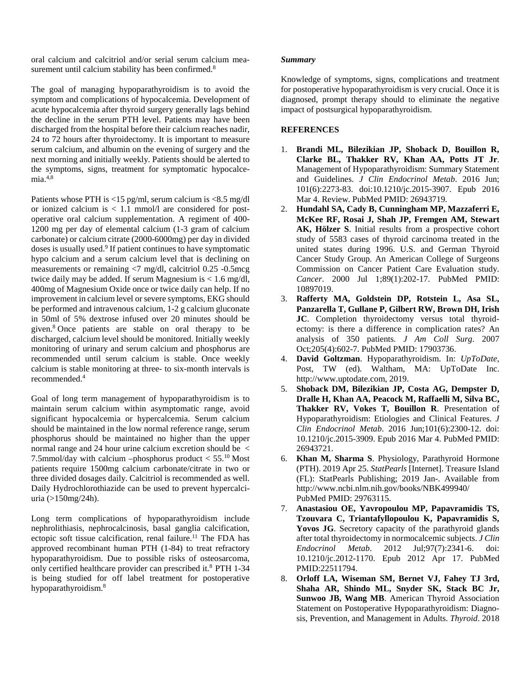oral calcium and calcitriol and/or serial serum calcium measurement until calcium stability has been confirmed.<sup>8</sup>

The goal of managing hypoparathyroidism is to avoid the symptom and complications of hypocalcemia. Development of acute hypocalcemia after thyroid surgery generally lags behind the decline in the serum PTH level. Patients may have been discharged from the hospital before their calcium reaches nadir, 24 to 72 hours after thyroidectomy. It is important to measure serum calcium, and albumin on the evening of surgery and the next morning and initially weekly. Patients should be alerted to the symptoms, signs, treatment for symptomatic hypocalcemia. $4,8$ 

Patients whose PTH is <15 pg/ml, serum calcium is <8.5 mg/dl or ionized calcium is < 1.1 mmol/l are considered for postoperative oral calcium supplementation. A regiment of 400- 1200 mg per day of elemental calcium (1-3 gram of calcium carbonate) or calcium citrate (2000-6000mg) per day in divided doses is usually used.9 If patient continues to have symptomatic hypo calcium and a serum calcium level that is declining on measurements or remaining <7 mg/dl, calcitriol 0.25 -0.5mcg twice daily may be added. If serum Magnesium is  $< 1.6$  mg/dl, 400mg of Magnesium Oxide once or twice daily can help. If no improvement in calcium level or severe symptoms, EKG should be performed and intravenous calcium, 1-2 g calcium gluconate in 50ml of 5% dextrose infused over 20 minutes should be given.8 Once patients are stable on oral therapy to be discharged, calcium level should be monitored. Initially weekly monitoring of urinary and serum calcium and phosphorus are recommended until serum calcium is stable. Once weekly calcium is stable monitoring at three- to six-month intervals is recommended.4

Goal of long term management of hypoparathyroidism is to maintain serum calcium within asymptomatic range, avoid significant hypocalcemia or hypercalcemia. Serum calcium should be maintained in the low normal reference range, serum phosphorus should be maintained no higher than the upper normal range and 24 hour urine calcium excretion should be < 7.5mmol/day with calcium –phosphorus product  $< 55$ .<sup>10</sup> Most patients require 1500mg calcium carbonate/citrate in two or three divided dosages daily. Calcitriol is recommended as well. Daily Hydrochlorothiazide can be used to prevent hypercalciuria (>150mg/24h).

Long term complications of hypoparathyroidism include nephrolithiasis, nephrocalcinosis, basal ganglia calcification, ectopic soft tissue calcification, renal failure.<sup>11</sup> The FDA has approved recombinant human PTH (1-84) to treat refractory hypoparathyroidism. Due to possible risks of osteosarcoma, only certified healthcare provider can prescribed it.8 PTH 1-34 is being studied for off label treatment for postoperative hypoparathyroidism.8

### *Summary*

Knowledge of symptoms, signs, complications and treatment for postoperative hypoparathyroidism is very crucial. Once it is diagnosed, prompt therapy should to eliminate the negative impact of postsurgical hypoparathyroidism.

## **REFERENCES**

- 1. **Brandi ML, Bilezikian JP, Shoback D, Bouillon R, Clarke BL, Thakker RV, Khan AA, Potts JT Jr**. Management of Hypoparathyroidism: Summary Statement and Guidelines. *J Clin Endocrinol Metab*. 2016 Jun; 101(6):2273-83. doi:10.1210/jc.2015-3907. Epub 2016 Mar 4. Review. PubMed PMID: 26943719.
- 2. **Hundahl SA, Cady B, Cunningham MP, Mazzaferri E, McKee RF, Rosai J, Shah JP, Fremgen AM, Stewart AK, Hölzer S**. Initial results from a prospective cohort study of 5583 cases of thyroid carcinoma treated in the united states during 1996. U.S. and German Thyroid Cancer Study Group. An American College of Surgeons Commission on Cancer Patient Care Evaluation study. *Cancer*. 2000 Jul 1;89(1):202-17. PubMed PMID: 10897019.
- 3. **Rafferty MA, Goldstein DP, Rotstein L, Asa SL, Panzarella T, Gullane P, Gilbert RW, Brown DH, Irish JC**. Completion thyroidectomy versus total thyroidectomy: is there a difference in complication rates? An analysis of 350 patients. *J Am Coll Surg*. 2007 Oct;205(4):602-7. PubMed PMID: 17903736.
- 4. **David Goltzman**. Hypoparathyroidism. In: *UpToDate*, Post, TW (ed). Waltham, MA: UpToDate Inc. http://www.uptodate.com, 2019.
- 5. **Shoback DM, Bilezikian JP, Costa AG, Dempster D, Dralle H, Khan AA, Peacock M, Raffaelli M, Silva BC, Thakker RV, Vokes T, Bouillon R**. Presentation of Hypoparathyroidism: Etiologies and Clinical Features. *J Clin Endocrinol Metab*. 2016 Jun;101(6):2300-12. doi: 10.1210/jc.2015-3909. Epub 2016 Mar 4. PubMed PMID: 26943721.
- 6. **Khan M, Sharma S**. Physiology, Parathyroid Hormone (PTH). 2019 Apr 25. *StatPearls* [Internet]. Treasure Island (FL): StatPearls Publishing; 2019 Jan-. Available from http://www.ncbi.nlm.nih.gov/books/NBK499940/ PubMed PMID: 29763115.
- 7. **Anastasiou OE, Yavropoulou MP, Papavramidis TS, Tzouvara C, Triantafyllopoulou K, Papavramidis S,**  Yovos JG. Secretory capacity of the parathyroid glands after total thyroidectomy in normocalcemic subjects. *J Clin Endocrinol Metab*. 2012 Jul;97(7):2341-6. doi: 10.1210/jc.2012-1170. Epub 2012 Apr 17. PubMed PMID:22511794.
- 8. **Orloff LA, Wiseman SM, Bernet VJ, Fahey TJ 3rd, Shaha AR, Shindo ML, Snyder SK, Stack BC Jr, Sunwoo JB, Wang MB**. American Thyroid Association Statement on Postoperative Hypoparathyroidism: Diagnosis, Prevention, and Management in Adults. *Thyroid*. 2018